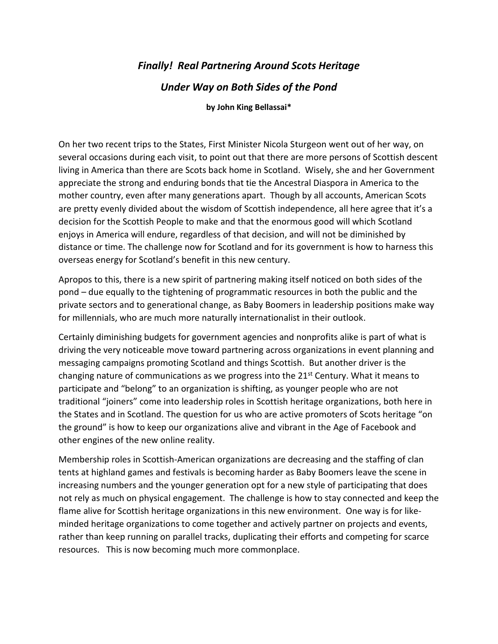## *Finally! Real Partnering Around Scots Heritage*

## *Under Way on Both Sides of the Pond*

## **by John King Bellassai\***

On her two recent trips to the States, First Minister Nicola Sturgeon went out of her way, on several occasions during each visit, to point out that there are more persons of Scottish descent living in America than there are Scots back home in Scotland. Wisely, she and her Government appreciate the strong and enduring bonds that tie the Ancestral Diaspora in America to the mother country, even after many generations apart. Though by all accounts, American Scots are pretty evenly divided about the wisdom of Scottish independence, all here agree that it's a decision for the Scottish People to make and that the enormous good will which Scotland enjoys in America will endure, regardless of that decision, and will not be diminished by distance or time. The challenge now for Scotland and for its government is how to harness this overseas energy for Scotland's benefit in this new century.

Apropos to this, there is a new spirit of partnering making itself noticed on both sides of the pond – due equally to the tightening of programmatic resources in both the public and the private sectors and to generational change, as Baby Boomers in leadership positions make way for millennials, who are much more naturally internationalist in their outlook.

Certainly diminishing budgets for government agencies and nonprofits alike is part of what is driving the very noticeable move toward partnering across organizations in event planning and messaging campaigns promoting Scotland and things Scottish. But another driver is the changing nature of communications as we progress into the  $21<sup>st</sup>$  Century. What it means to participate and "belong" to an organization is shifting, as younger people who are not traditional "joiners" come into leadership roles in Scottish heritage organizations, both here in the States and in Scotland. The question for us who are active promoters of Scots heritage "on the ground" is how to keep our organizations alive and vibrant in the Age of Facebook and other engines of the new online reality.

Membership roles in Scottish-American organizations are decreasing and the staffing of clan tents at highland games and festivals is becoming harder as Baby Boomers leave the scene in increasing numbers and the younger generation opt for a new style of participating that does not rely as much on physical engagement. The challenge is how to stay connected and keep the flame alive for Scottish heritage organizations in this new environment. One way is for likeminded heritage organizations to come together and actively partner on projects and events, rather than keep running on parallel tracks, duplicating their efforts and competing for scarce resources. This is now becoming much more commonplace.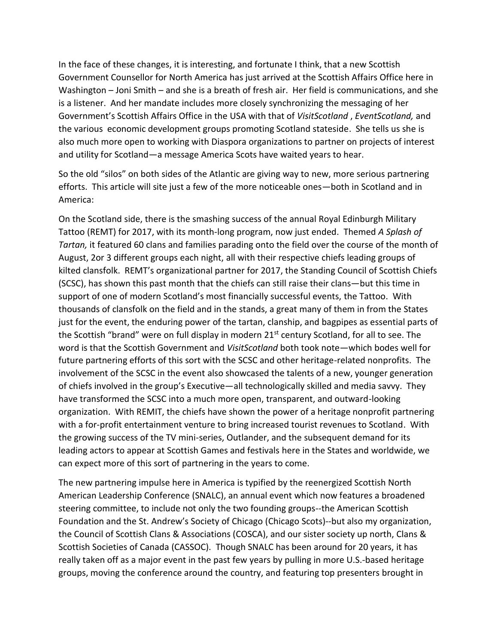In the face of these changes, it is interesting, and fortunate I think, that a new Scottish Government Counsellor for North America has just arrived at the Scottish Affairs Office here in Washington – Joni Smith – and she is a breath of fresh air. Her field is communications, and she is a listener. And her mandate includes more closely synchronizing the messaging of her Government's Scottish Affairs Office in the USA with that of *VisitScotland* , *EventScotland,* and the various economic development groups promoting Scotland stateside. She tells us she is also much more open to working with Diaspora organizations to partner on projects of interest and utility for Scotland—a message America Scots have waited years to hear.

So the old "silos" on both sides of the Atlantic are giving way to new, more serious partnering efforts. This article will site just a few of the more noticeable ones—both in Scotland and in America:

On the Scotland side, there is the smashing success of the annual Royal Edinburgh Military Tattoo (REMT) for 2017, with its month-long program, now just ended. Themed *A Splash of Tartan,* it featured 60 clans and families parading onto the field over the course of the month of August, 2or 3 different groups each night, all with their respective chiefs leading groups of kilted clansfolk. REMT's organizational partner for 2017, the Standing Council of Scottish Chiefs (SCSC), has shown this past month that the chiefs can still raise their clans—but this time in support of one of modern Scotland's most financially successful events, the Tattoo. With thousands of clansfolk on the field and in the stands, a great many of them in from the States just for the event, the enduring power of the tartan, clanship, and bagpipes as essential parts of the Scottish "brand" were on full display in modern 21<sup>st</sup> century Scotland, for all to see. The word is that the Scottish Government and *VisitScotland* both took note—which bodes well for future partnering efforts of this sort with the SCSC and other heritage-related nonprofits. The involvement of the SCSC in the event also showcased the talents of a new, younger generation of chiefs involved in the group's Executive—all technologically skilled and media savvy. They have transformed the SCSC into a much more open, transparent, and outward-looking organization. With REMIT, the chiefs have shown the power of a heritage nonprofit partnering with a for-profit entertainment venture to bring increased tourist revenues to Scotland. With the growing success of the TV mini-series, Outlander, and the subsequent demand for its leading actors to appear at Scottish Games and festivals here in the States and worldwide, we can expect more of this sort of partnering in the years to come.

The new partnering impulse here in America is typified by the reenergized Scottish North American Leadership Conference (SNALC), an annual event which now features a broadened steering committee, to include not only the two founding groups--the American Scottish Foundation and the St. Andrew's Society of Chicago (Chicago Scots)--but also my organization, the Council of Scottish Clans & Associations (COSCA), and our sister society up north, Clans & Scottish Societies of Canada (CASSOC). Though SNALC has been around for 20 years, it has really taken off as a major event in the past few years by pulling in more U.S.-based heritage groups, moving the conference around the country, and featuring top presenters brought in